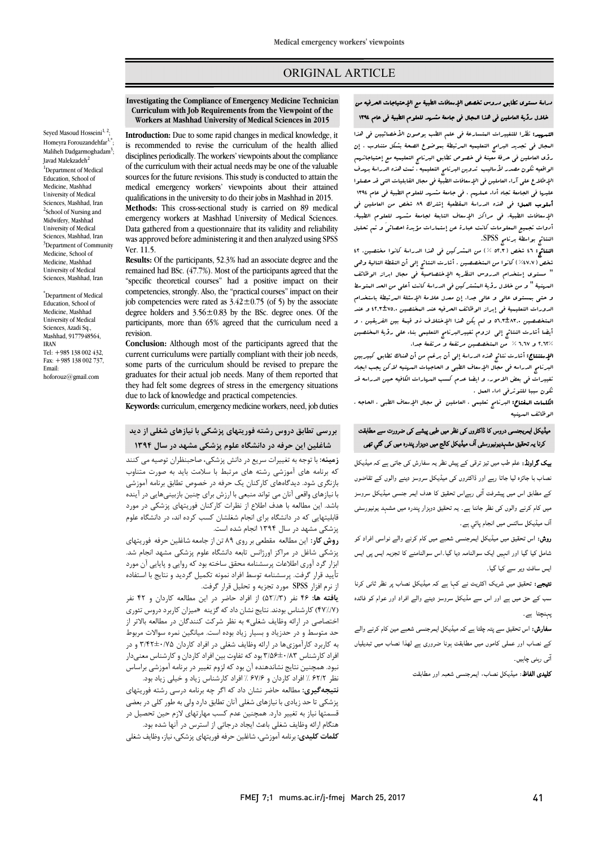### ORIGINAL ARTICLE

# دراسۀ مستوي تطابق دروس تخصص الإسعافات الطبیۀ مع الإحتیاجات الحرفیه من خلال رؤیۀ العاملین فی هذا المجال فی جامعۀ مشهد للعلوم الطبیۀ فی عام 1394

Ī 

 التمهید: نظرا للتغییرات المتسارعۀ فی علم الطب یوصون الأخصائیین فی هذا البجال فی تجدید البرامج التعلیمیه البرتبطۀ بموضوع الصحۀ بشکل متناوب ، إن<br>رؤى الدارا مرفر و فقدر نقرف و بر تطلب المرزار التداري و در اوترادات الواقعیه تکون مصدر لأسالیب تدوین البرنامج التعلیمیه ، تمت هذه الدراسۀ بهدف الإطلاع علی آراء العاملین فی الإسعافات الطبیۀ فی مجال القابلیات التی قد حصلوا علیها فی الجامعۀ تجاه أداء عملهم ، فی جامعۀ مشهد للعلوم الطبیۀ فی عام ١٣٩٤<br>. ال**سوب الصن،** فی مدد الدراسة المتنقلية إسرت ١٨ سبق من التابعية في<br>الإسعافات الطبیۀ. فی مراکز الإسعاف التابعۀ لجامعۀ مشهد للعلوم الطبیۀ. أدوات تجمیع المعلومات کانت عبارة عن إستمارات مؤیدة احصائیَ و تم تحلیل النتائج بواسطۀ برنامج SPSS. رؤي العاملین فی حرفۀ معینۀ فی خصوص تطابق البرنامج التعلیمیه مع إحتیاجاتهم أسلوب العمل: فی هذه الدراسۀ المقطعیۀ إشترك 89 شخص من العاملین فی

 النتائج: 46 شخص (52,3 %) من المشرکین فی هذا الدراسۀ کانوا مختصین. 42 سس ، ....... عنو. عن عبد السلس ...الرب السری الله عنوان السلس السویہ رسی<br>" مستوى إستخدام الدروس النظریه الإختصاصیۀ فی مجال ابراز الوظائف المهنیۀ " و من خلال رؤیۀ المشترکین فی الدراسۀ کانت أعلی من الحد المتوسط و حتی بمستوي عالی و عالی جدا. إن معدل علامۀ الإسئلۀ المرتبطۀ باستخدام الدورات التعلیمیۀ فی إبراز الوظائف الحرفیه عند المختصین 42,3±75,0 و عند أیضا أشارت النتائج إلی لزوم تغییرالبرنامج التعلیمی بناء علی رؤیۀ المختصین 2,62% و 6,67 % من المتخصصین مرتفعۀ و مرتفعۀ جدا. شخص (%47.7) کانوا من المتخصصین . أشارت النتائج إلی أن النقطۀ التالیۀ وهی المتخصصین 56,3±83,0 و لم یکن هذا الإختلاف ذو قیمۀ بین الفریقین ، و

 الإستنتاج: أشارت نتائج هذه الدراسۀ إلی أن برغم من أن هناك تطابق کبیربین البرنامج الدراسه فی مجال الإسعاف الطبی و الحاجیات المهنیه لاکن یجب ایجاد<br>م سپیون سے سب سے سوئے ہوتے۔<br>تکون سببا للتوترفی اداء العمل . تغییرات فی بعض الامور. و ایضا عدم کسب المهارات الکافیه حین الدراسه قد

 الکلمات المفتاح: البرنامج تعلیمی . العاملین فی مجال الإسعاف الطبی . الحاجه . الوظائف المهنیه

### میٹیکل ایمریجنسی دروس کا ڈاکٹروں کی نظر میں طبی پیشے کی ضرورت سے مطابقت کرنا يہ تحقيق مشہديونيورسٹی آف ميڈيکل کالج ميں دوپزار پندرہ ميں کی گئي تھی

**یک گراونڈ:** علم طب میں تیز ترقی کے پیش نظر یہ سفارش کی جاتی ہے کہ میڈیکل ۔<br>بصاب با جائزہ لیا جاتا رہے اور ڈاکٹروں کی میڈیکل سروسز دینے والوں کے تقاضوں کے مطابق اس میں پیشرفت آتی رہےاس تحقیق کا ہدف ایمر جنسی میڈیکل سروسز ۔<br>میں کام کرنے والوں کی نظر جاننا ہے۔ یہ تحقیق دوہزار پندرہ میں مشہد یونیورسٹی ۔<br>آف میڈیکل سائنس میں انجام پائی ہے۔

ر**وش:**<br>ر**وش:** اس تحقیق میں میڈیکل ایمرجنسی شعبے میں کام کرنے والے نواسی افراد کو اور ا ا ا د ۔اس ا ا ا ں ۔ ۔ ۔ ۔ ۔ ۔ ۔<br>ایس سافٹ ویر سے کیا گیا۔

۔ ں۔ ۔ ۔ ۔ ۔ ۔ ۔ ۔ ۔ ۔<br>**تیجے:** تحقیق میں شریک اکثریت نے کہا ہے کہ میڈیکل نصاب پر نظر ثانی کرنا۔ Ĩ. اور اس و د وا ااد اور ام ہ یہنچتا ہے۔

**سفارش:** اس تحقیق سے پتہ چلتا ہے کہ میڈیکل ایمرجنسی شعبے مین کام کرنے والے<br>۔ کے نصاب اور عملی کاموں میں مطابقت ہونا ضروری ہے لھذا نصاب میں تبدیلیاں<br>. آتی رہنی چاہیں۔

**تلیدی الفاظ**: میڈیکل نصاب، ایمرجنسی شعبہ اور مطابقت<br>۔

## **Investigating the Compliance of Emergency Medicine Technician Curriculum with Job Requirements from the Viewpoint of the Workers at Mashhad University of Medical Sciences in 2015**

Ī 

 **Introduction:** Due to some rapid changes in medical knowledge, it disciplines periodically. The workers' viewpoints about the compliance of the curriculum with their actual needs may be one of the valuable sources for the future revisions. This study is conducted to attain the<br>modical conservery weaken? viewes into about, their attained qualifications in the university to do their jobs in Mashhad in 2015. **Methods:** This cross-sectional study is carried on 89 medical Data gathered from a questionnaire that its validity and reliability was approved before administering it and then analyzed using SPSS is recommended to revise the curriculum of the health allied medical emergency workers' viewpoints about their attained emergency workers at Mashhad University of Medical Sciences. Ver. 11.5.

 **Results:** Of the participants, 52.3% had an associate degree and the remained had BSc. (47.7%). Most of the participants agreed that the "specific theoretical courses" had a positive impact on their job competencies were rated as  $3.42 \pm 0.75$  (of 5) by the associate degree holders and 3.56±0.83 by the BSc. degree ones. Of the participants, more than 65% agreed that the curriculum need a competencies, strongly. Also, the "practical courses" impact on their revision.

 **Conclusion:** Although most of the participants agreed that the current curriculums were partially compliant with their job needs, graduates for their actual job needs. Many of them reported that they had felt some degrees of stress in the emergency situations some parts of the curriculum should be revised to prepare the due to lack of knowledge and practical competencies.

**Keywords:**curriculum, emergency medicine workers, need, job duties

### **بررسی تطابق دروس رشته فوریتهاي پزشکی با نیازهاي شغلی از دید شاغلین این حرفه در دانشگاه علوم پزشکی مشهد در سال 1394**

 **زمینه:** با توجه به تغییرات سریع در دانش پزشکی، صاحبنظران توصیه می کنند که برنامه هاي آموزشی رشته هاي مرتبط با سلامت باید به صورت متناوب بارندری سود. دید نامهای کار نبان یک خرقه در حضوض نصابق برنامه آموزسی<br>با نیازهای واقعی آنان می تواند منبعی با ارزش برای چنین بازبینیهایی در آینده باشد. این مطالعه با هدف اطلاع از نظرات کارکنان فوریتهاي پزشکی در مورد قابلیتهایی که در دانشگاه براي انجام شغلشان کسب کرده اند، در دانشگاه علوم پزشکی مشهد در سال ۱۳۹۴ انجام شده است.<br>مسمومین بازنگري شود. دیدگاههاي کارکنان یک حرفه در خصوص تطابق برنامه آموزشی

**روس در**. این سفانله استعلی بر روی ۳۸۰ س از جامله ساختین حرک خوریتهای<br>پزشکی شاغل در مراکز اورژانس تابعه دانشگاه علوم پزشکی مشهد انجام شد. ابزار گرد آوري اطلاعات پرسشنامه محقق ساخته بود که روایی و پایایی آن مورد تأیید قرار گرفت. پرسشنامه توسط افراد نمونه تکمیل گردید و نتایج با استفاده از نرم افزار SPSS مورد تجزیه و تحلیل قرار گرفت. **روش کار:** این مطالعه مقطعی بر روي 89 تن از جامعه شاغلین حرفه فوریتهاي

 (47%/7) کارشناس بودند. نتایج نشان داد که گزینه «میزان کاربرد دروس تئوري اختصاصی در ارائه وظایف شغلی» به نظر شرکت کنندگان در مطالعه بالاتر از حد متوسط و در حدزیاد و بسیار زیاد بوده است. میانگین نمره سوالات مربوط به داربرد دارآموزیها در آرانه وطایف شعلی در افراد داردان ۱٬۱۱۵±۱٬۱۰ و در<br>افراد کارشناس ۱٬۱۳–۱٬۵۶ بود که تفاوت بین افراد کاردان و کارشناس معنیدار نبود. همچنین نتایج نشاندهنده آن بود که لزوم تغییر در برنامه آموزشی براساس **یافته ها:** 46 نفر (52%/3) از افراد حاضر در این مطالعه کاردان و 42 نفر به کاربرد کارآموزيها در ارائه وظایف شغلی در افراد کاردان 3/42±0/75 و در

 نظر 62/2 % افراد کاردان و 67/6 % افراد کارشناس زیاد و خیلی زیاد بود. **نتیجهگیري:** مطالعه حاضر نشان داد که اگر چه برنامه درسی رشته فوریتهاي پرستی با حد زیادی با تیاز سی تسعی آنان تصابق دارد ولی به صور کلی در بعضی<br>قسمتها نیاز به تغییر دارد. همچنین عدم کسب مهارتهای لازم حین تحصیل در هنگام ارائه وظایف شغلی باعث ایجاد درجاتی از استرس در آنها شده بود. **کلمات کلیدي:** برنامه آموزشی، شاغلین حرفه فوریتهاي پزشکی، نیاز، وظایف شغلی پزشکی تا حد زیادي با نیازهاي شغلی آنان تطابق دارد ولی به طور کلی در بعضی

Seyed Masoud Hosseini<sup>1, 2</sup>; Homeyra Forouzandehfar<sup>1</sup> Maliheh Dadgarmoghadam<sup>3</sup>; Javad Malekzadeh<sup>2</sup> <sup>1</sup>Department of Medical Education, School of Medicine, Mashhad University of Medical Sciences, Mashhad, Iran <sup>2</sup>School of Nursing and Midwifery, Mashhad University of Medical Sciences, Mashhad, Iran <sup>3</sup>Department of Community Medicine, School of Medicine, Mashhad University of Medical Sciences, Mashhad, Iran

\* Department of Medical Education, School of Medicine, Mashhad University of Medical Sciences, Azadi Sq., Mashhad, 9177948564, IRAN Tel: +985 138 002 432, Fax: +985 138 002 737, Email: hoforouz@gmail.com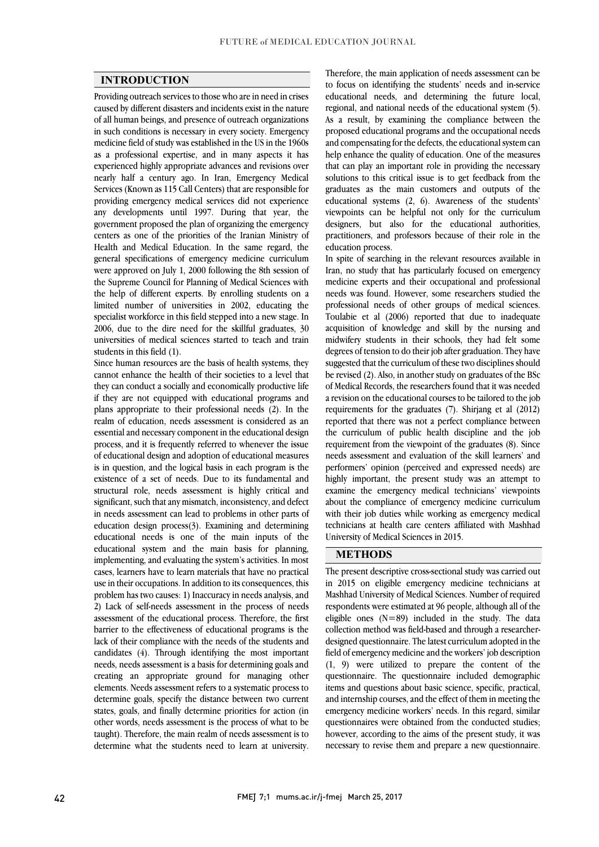#### **INTRODUCTION**

 Providing outreach services to those who are in need in crises caused by different disasters and incidents exist in the nature of all human beings, and presence of outreach organizations medicine field of study was established in the US in the 1960s as a professional expertise, and in many aspects it has experienced highly appropriate advances and revisions over nearly half a century ago. In Iran, Emergency Medical providing emergency medical services did not experience any developments until 1997. During that year, the government proposed the plan of organizing the emergency centers as one of the priorities of the Iranian Ministry of general specifications of emergency medicine curriculum were approved on July 1, 2000 following the 8th session of the Supreme Council for Planning of Medical Sciences with limited number of universities in 2002, educating the specialist workforce in this field stepped into a new stage. In 2006, due to the dire need for the skillful graduates, 30 universities of medical sciences started to teach and train in such conditions is necessary in every society. Emergency Services (Known as 115 Call Centers) that are responsible for Health and Medical Education. In the same regard, the the help of different experts. By enrolling students on a students in this field (1).

students in this field (1).<br>Since human resources are the basis of health systems, they cannot enhance the health of their societies to a level that they can conduct a socially and economically productive life if they are not equipped with educational programs and plans appropriate to their professional fields (2). In the realm of education, needs assessment is considered as an essential and necessary component in the educational design process, and it is frequently referred to whenever the issue of educational design and adoption of educational measures existence of a set of needs. Due to its fundamental and structural role, needs assessment is highly critical and significant, such that any mismatch, inconsistency, and defect in needs assessment can lead to problems in other parts of education design process(*y*). Examining and determining educational system and the main basis for planning, implementing, and evaluating the system's activities. In most cases, learners have to learn materials that have no practical problem has two causes: 1) Inaccuracy in needs analysis, and 2) Lack of self-needs assessment in the process of needs assessment of the educational process. Therefore, the first barrier to the effectiveness of educational programs is the candidates (4). Through identifying the most important needs, needs assessment is a basis for determining goals and creating an appropriate ground for managing other determine goals, specify the distance between two current states, goals, and finally determine priorities for action (in other words, needs assessment is the process of what to be taught). Therefore, the main realm of needs assessment is to determine what the students need to learn at university. plans appropriate to their professional needs (2). In the is in question, and the logical basis in each program is the education design process(3). Examining and determining use in their occupations. In addition to its consequences, this lack of their compliance with the needs of the students and elements. Needs assessment refers to a systematic process to

 to focus on identifying the students' needs and in-service educational needs, and determining the future local, regional, and national needs of the educational system (5). As a result, by examining the compliance between the and compensating for the defects, the educational system can help enhance the quality of education. One of the measures that can play an important role in providing the necessary solutions to this critical issue is to get feedback from the educational systems (2, 6). Awareness of the students' viewpoints can be helpful not only for the curriculum designers, but also for the educational authorities, practitioners, and professors because of their role in the Therefore, the main application of needs assessment can be proposed educational programs and the occupational needs graduates as the main customers and outputs of the education process.

In spite of searching in the relevant resources available in Iran, no study that has particularly focused on emergency medicine experts and their occupational and professional professional needs of other groups of medical sciences. Toulabie et al (2006) reported that due to inadequate acquisition of knowledge and skill by the nursing and midwifery students in their schools, they had felt some suggested that the curriculum of these two disciplines should be revised (2). Also, in another study on graduates of the BSc of Medical Records, the researchers found that it was needed a revision on the educational courses to be tailored to the job requirements for the graduates  $(7)$ . Simpling et at  $(2012)$ <br>reported that there was not a perfect compliance between the curriculum of public health discipline and the job requirement from the viewpoint of the graduates (8). Since needs assessment and evaluation of the skill learners' and highly important, the present study was an attempt to examine the emergency medical technicians' viewpoints about the compliance of emergency medicine curriculum with their job duties while working as emergency medical<br>technicians at health care centers affiliated with Mashhad Ĩ needs was found. However, some researchers studied the degrees of tension to do their job after graduation. They have requirements for the graduates (7). Shirjang et al (2012) performers' opinion (perceived and expressed needs) are with their job duties while working as emergency medical University of Medical Sciences in 2015.

#### **METHODS**

l in 2015 on eligible emergency medicine technicians at Mashhad University of Medical Sciences. Number of required respondents were estimated at 96 people, although all of the eligible ones (N=89) included in the study. The data designed questionnaire. The latest curriculum adopted in the field of emergency medicine and the workers' job description (1, 9) were utilized to prepare the content of the questionnaire. The questionnaire included demographic and internship courses, and the effect of them in meeting the emergency medicine workers' needs. In this regard, similar questionnaires were obtained from the conducted studies; however, according to the aims of the present study, it was necessary to revise them and prepare a new questionnaire. The present descriptive cross-sectional study was carried out collection method was field-based and through a researcheritems and questions about basic science, specific, practical,

j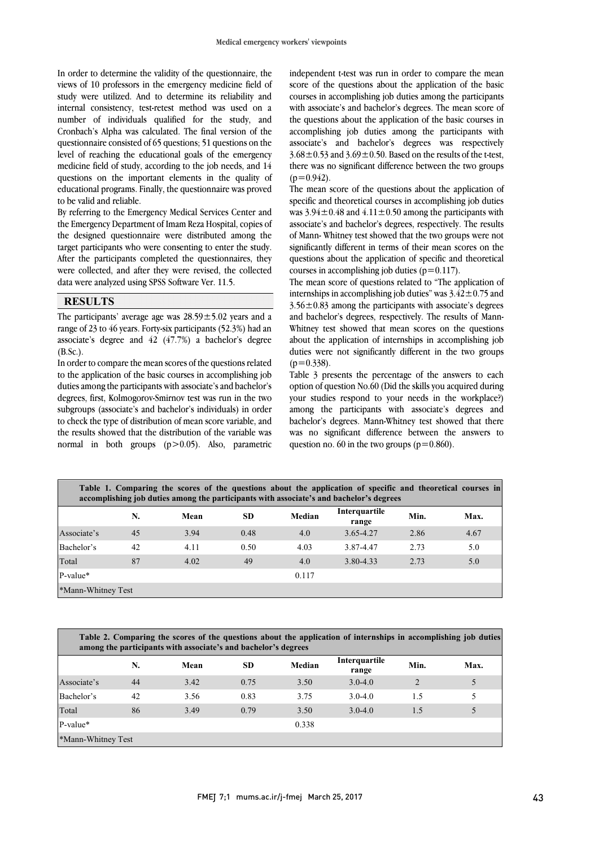In order to determine the vandaly of the questionnane, the views of 10 professors in the emergency medicine field of study were utilized. And to determine its reliability and internal consistency, test-retest method was used on a number of individuals qualified for the study, and questionnaire consisted of 65 questions; 51 questions on the level of reaching the educational goals of the emergency medicine field of study, according to the job needs, and 14 questions on the important elements in the quality of educational programs. Finally, the questionnaire was proved<br>to be valid and reliable In order to determine the validity of the questionnaire, the Cronbach's Alpha was calculated. The final version of the to be valid and reliable.

 By referring to the Emergency Medical Services Center and the Emergency Department of Imam Reza Hospital, copies of the designed questionnaire were distributed among the After the participants completed the questionnaires, they were collected, and after they were revised, the collected target participants who were consenting to enter the study. data were analyzed using SPSS Software Ver. 11.5.

#### **RESULTS**

The participants' average age was  $28.59 \pm 5.02$  years and a range of 23 to 46 years. Forty-six participants (52.3%) had an associate's degree and 42 (47.7%) a bachelor's degree (B.Sc.).

(b.sc.).<br>In order to compare the mean scores of the questions related to the application of the basic courses in accomplishing job duties among the participants with associate's and bachelor's degrees, first, Kolmogorov-Smirnov test was run in the two to check the type of distribution of mean score variable, and the results showed that the distribution of the variable was normal in both groups (p>0.05). Also, parametric subgroups (associate's and bachelor's individuals) in order

 score of the questions about the application of the basic courses in accomplishing job duties among the participants with associate's and bachelor's degrees. The mean score of the questions about the application of the basic courses in  $3.68 \pm 0.53$  and  $3.69 \pm 0.50$ . Based on the results of the t-test, there was no significant difference between the two groups independent t-test was run in order to compare the mean accomplishing job duties among the participants with associate's and bachelor's degrees was respectively  $(p=0.942)$ .

 $(p=0.942)$ .<br>The mean score of the questions about the application of specific and theoretical courses in accomplishing job duties was  $3.94 \pm 0.48$  and  $4.11 \pm 0.50$  among the participants with associate's and bachelor's degrees, respectively. The results of Mann- Whitney test showed that the two groups were not questions about the application of specific and theoretical significantly different in terms of their mean scores on the courses in accomplishing job duties  $(p=0.117)$ .

 The mean score of questions related to "The application of nucriisings in accomplisining job duties was  $3.542 \pm 0.73$  and  $3.56 \pm 0.83$  among the participants with associate's degrees and bachelor's degrees, respectively. The results of Mann- Whitney test showed that mean scores on the questions about the application of internships in accomplishing job duties were not significantly different in the two groups  $(2-0.338)$ internships in accomplishing job duties" was  $3.42 \pm 0.75$  and  $(p=0.338)$ .

Table 3 presents the percentage of the answers to each option of question No.60 (Did the skills you acquired during your studies respond to your needs in the workplace?) allong the participatity with associate's degrees and was no significant difference between the answers to among the participants with associate's degrees and question no. 60 in the two groups ( $p=0.860$ ).

|                    |    |      |      |        | Table 1. Comparing the scores of the questions about the application of specific and theoretical courses in<br>accomplishing job duties among the participants with associate's and bachelor's degrees |      |      |
|--------------------|----|------|------|--------|--------------------------------------------------------------------------------------------------------------------------------------------------------------------------------------------------------|------|------|
|                    | N. | Mean | SD   | Median | Interquartile<br>range                                                                                                                                                                                 | Min. | Max. |
| Associate's        | 45 | 3.94 | 0.48 | 4.0    | 3.65-4.27                                                                                                                                                                                              | 2.86 | 4.67 |
| Bachelor's         | 42 | 4.11 | 0.50 | 4.03   | 3.87-4.47                                                                                                                                                                                              | 2.73 | 5.0  |
| Total              | 87 | 4.02 | 49   | 4.0    | 3.80-4.33                                                                                                                                                                                              | 2.73 | 5.0  |
| P-value*           |    |      |      | 0.117  |                                                                                                                                                                                                        |      |      |
| *Mann-Whitney Test |    |      |      |        |                                                                                                                                                                                                        |      |      |

٦

| Table 2. Comparing the scores of the questions about the application of internships in accomplishing job duties<br>among the participants with associate's and bachelor's degrees |    |      |           |        |                        |                |      |
|-----------------------------------------------------------------------------------------------------------------------------------------------------------------------------------|----|------|-----------|--------|------------------------|----------------|------|
|                                                                                                                                                                                   | N. | Mean | <b>SD</b> | Median | Interquartile<br>range | Min.           | Max. |
| Associate's                                                                                                                                                                       | 44 | 3.42 | 0.75      | 3.50   | $3.0 - 4.0$            | $\mathfrak{D}$ | 5    |
| Bachelor's                                                                                                                                                                        | 42 | 3.56 | 0.83      | 3.75   | $3.0 - 4.0$            | 1.5            | 5    |
| Total                                                                                                                                                                             | 86 | 3.49 | 0.79      | 3.50   | $3.0 - 4.0$            | 1.5            |      |
| P-value*                                                                                                                                                                          |    |      |           | 0.338  |                        |                |      |
| *Mann-Whitney Test                                                                                                                                                                |    |      |           |        |                        |                |      |

 $\overline{a}$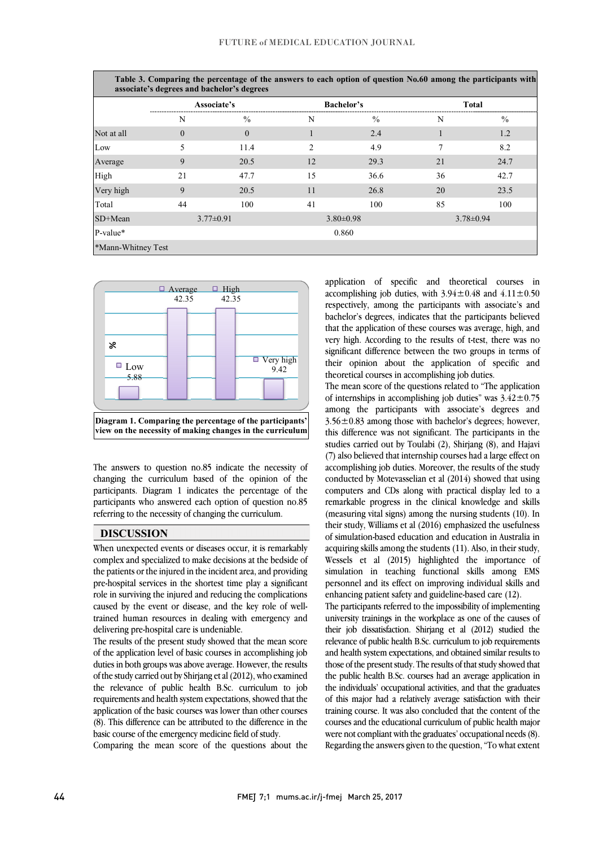|                    | Associate's     |               |                | <b>Bachelor's</b> |                 | Total         |  |
|--------------------|-----------------|---------------|----------------|-------------------|-----------------|---------------|--|
|                    | N               | $\frac{0}{0}$ | N              | $\frac{0}{0}$     | N               | $\frac{0}{0}$ |  |
| Not at all         | $\Omega$        | $\Omega$      |                | 2.4               |                 | 1.2           |  |
| Low                | 5               | 11.4          | $\overline{c}$ | 4.9               |                 | 8.2           |  |
| Average            | 9               | 20.5          | 12             | 29.3              | 21              | 24.7          |  |
| High               | 21              | 47.7          | 15             | 36.6              | 36              | 42.7          |  |
| Very high          | 9               | 20.5          | 11             | 26.8              | 20              | 23.5          |  |
| Total              | 44              | 100           | 41             | 100               | 85              | 100           |  |
| $SD+Mean$          | $3.77 \pm 0.91$ |               | $3.80\pm0.98$  |                   | $3.78 \pm 0.94$ |               |  |
| $P-value*$         |                 |               |                | 0.860             |                 |               |  |
| *Mann-Whitney Test |                 |               |                |                   |                 |               |  |



 **Diagram 1. Comparing the percentage of the participants' view on the necessity of making changes in the curriculum**

 The answers to question no.85 indicate the necessity of changing the curriculum based of the opinion of the participants. Diagram 1 indicates the percentage of the participants who answered each option of question no.85 referring to the necessity of changing the curriculum.

#### **DISCUSSION**

 When unexpected events or diseases occur, it is remarkably complex and specialized to make decisions at the bedside of the patients or the injured in the incident area, and providing role in surviving the injured and reducing the complications caused by the event or disease, and the key role of well- trained human resources in dealing with emergency and pre-hospital services in the shortest time play a significant delivering pre-hospital care is undeniable.

 The results of the present study showed that the mean score of the application level of basic courses in accomplishing job duties in both groups was above average. However, the results of the study carried out by Shirjang et al (2012), who examined requirements and health system expectations, showed that the application of the basic courses was lower than other courses (8). This difference can be attributed to the difference in the the relevance of public health B.Sc. curriculum to job basic course of the emergency medicine field of study.

Comparing the mean score of the questions about the

 application of specific and theoretical courses in accompusning job duties, with  $5.94 \pm 0.48$  and  $4.11 \pm 0.50$  respectively, among the participants with associate's and bachelor's degrees, indicates that the participants believed that the application of these courses was average, high, and very high. According to the results of t-test, there was no ֛֚<br>֛֛֛ their opinion about the application of specific and theoretical courses in accomplishing job duties. accomplishing job duties, with  $3.94 \pm 0.48$  and  $4.11 \pm 0.50$ significant difference between the two groups in terms of theoretical courses in accomplishing job duties.

 The mean score of the questions related to "The application of internships in accomplishing job duties" was  $3.42 \pm 0.75$  3.56±0.83 among those with bachelor's degrees; however, this difference was not significant. The participants in the studies carried out by Toulabi (2), Shirjang (8), and Hajavi (7) also believed that internship courses had a large effect on conducted by Motevasselian et al (2014) showed that using computers and CDs along with practical display led to a remarkable progress in the clinical knowledge and skills (measuring vital signs) among the nursing students (10). In of simulation-based education and education in Australia in acquiring skills among the students (11). Also, in their study, Wessels et al (2015) highlighted the importance of simulation in teaching functional skills among EMS personnel and its effect on improving individual skills and<br>enhancing patient safety and quideline-based care (12) among the participants with associate's degrees and accomplishing job duties. Moreover, the results of the study their study, Williams et al (2016) emphasized the usefulness enhancing patient safety and guideline-based care (12).

 The participants referred to the impossibility of implementing university trainings in the workplace as one of the causes of relevance of public health B.Sc. curriculum to job requirements and health system expectations, and obtained similar results to those of the present study. The results of that study showed that the public health B.Sc. courses had an average application in of this major had a relatively average satisfaction with their training course. It was also concluded that the content of the courses and the educational curriculum of public health major were not compliant with the graduates' occupational needs (8). Regarding the answers given to the question, "To what extent their job dissatisfaction. Shirjang et al (2012) studied the the individuals' occupational activities, and that the graduates